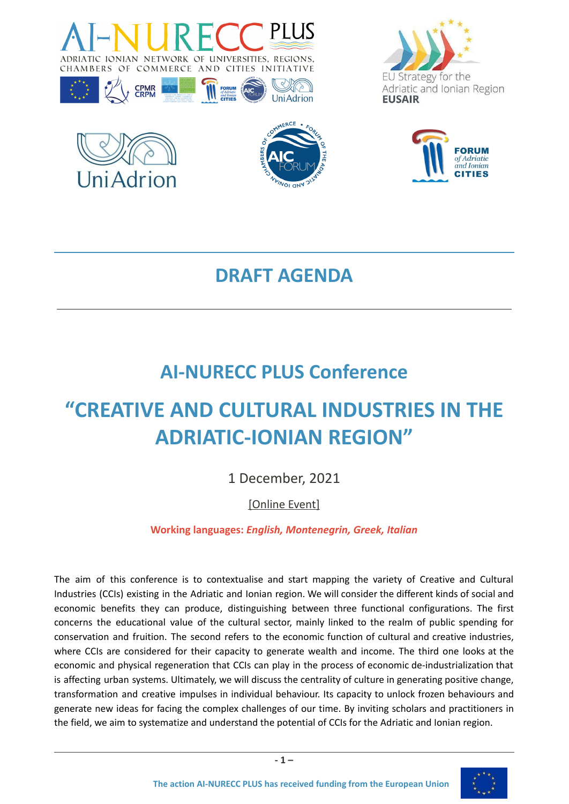









# **DRAFT AGENDA**

# **AI-NURECC PLUS Conference**

# **"CREATIVE AND CULTURAL INDUSTRIES IN THE ADRIATIC-IONIAN REGION"**

# 1 December, 2021

# [Online Event]

## **Working languages:** *English, Montenegrin, Greek, Italian*

The aim of this conference is to contextualise and start mapping the variety of Creative and Cultural Industries (CCIs) existing in the Adriatic and Ionian region. We will consider the different kinds of social and economic benefits they can produce, distinguishing between three functional configurations. The first concerns the educational value of the cultural sector, mainly linked to the realm of public spending for conservation and fruition. The second refers to the economic function of cultural and creative industries, where CCIs are considered for their capacity to generate wealth and income. The third one looks at the economic and physical regeneration that CCIs can play in the process of economic de-industrialization that is affecting urban systems. Ultimately, we will discuss the centrality of culture in generating positive change, transformation and creative impulses in individual behaviour. Its capacity to unlock frozen behaviours and generate new ideas for facing the complex challenges of our time. By inviting scholars and practitioners in the field, we aim to systematize and understand the potential of CCIs for the Adriatic and Ionian region.

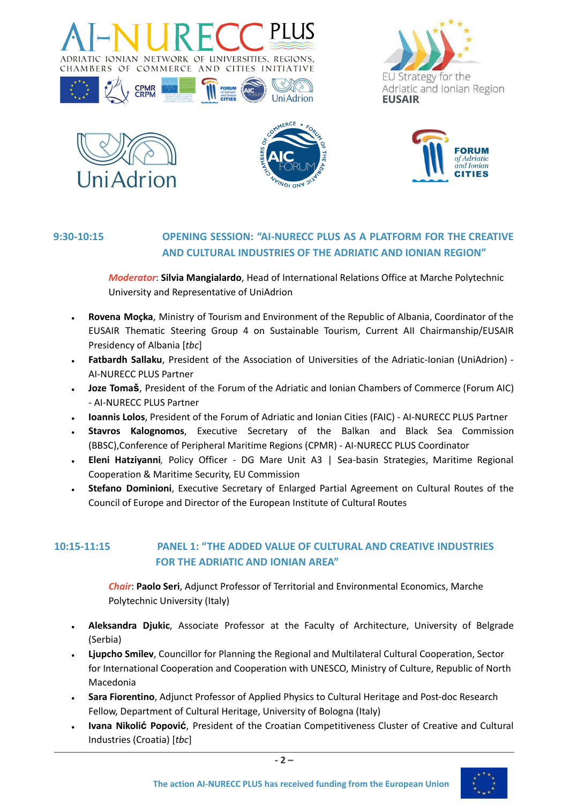

**FORUM** 





**CPMR**<br>CRPM



**UniAdrion** 



### **9:30-10:15 OPENING SESSION: "AI-NURECC PLUS AS A PLATFORM FOR THE CREATIVE AND CULTURAL INDUSTRIES OF THE ADRIATIC AND IONIAN REGION"**

*Moderator*: **Silvia Mangialardo**, Head of International Relations Office at Marche Polytechnic University and Representative of UniAdrion

- **Rovena Moçka**, Ministry of Tourism and Environment of the Republic of Albania, Coordinator of the EUSAIR Thematic Steering Group 4 on Sustainable Tourism, Current AII Chairmanship/EUSAIR Presidency of Albania [*tbc*]
- **● Fatbardh Sallaku**, President of the Association of Universities of the Adriatic-Ionian (UniAdrion) AI-NURECC PLUS Partner
- **● Joze Tomaš**, President of the Forum of the Adriatic and Ionian Chambers of Commerce (Forum AIC) - AI-NURECC PLUS Partner
- **● Ioannis Lolos**, President of the Forum of Adriatic and Ionian Cities (FAIC) AI-NURECC PLUS Partner
- **Stavros Kalognomos**, Executive Secretary of the Balkan and Black Sea Commission (BBSC),Conference of Peripheral Maritime Regions (CPMR) - AI-NURECC PLUS Coordinator
- **Eleni Hatziyanni***,* Policy Officer DG Mare Unit A3 | Sea-basin Strategies, Maritime Regional Cooperation & Maritime Security, EU Commission
- **Stefano Dominioni**, Executive Secretary of Enlarged Partial Agreement on Cultural Routes of the Council of Europe and Director of the European Institute of Cultural Routes

### **10:15-11:15 PANEL 1: "THE ADDED VALUE OF CULTURAL AND CREATIVE INDUSTRIES FOR THE ADRIATIC AND IONIAN AREA"**

*Chair*: **Paolo Seri**, Adjunct Professor of Territorial and Environmental Economics, Marche Polytechnic University (Italy)

- **● Aleksandra Djukic**, Associate Professor at the Faculty of Architecture, University of Belgrade (Serbia)
- **Ljupcho Smilev**, Councillor for Planning the Regional and Multilateral Cultural Cooperation, Sector for International Cooperation and Cooperation with UNESCO, Ministry of Culture, Republic of North Macedonia
- **Sara Fiorentino**, Adjunct Professor of Applied Physics to Cultural Heritage and Post-doc Research Fellow, Department of Cultural Heritage, University of Bologna (Italy)
- **Ivana Nikolić Popović**, President of the Croatian Competitiveness Cluster of Creative and Cultural Industries (Croatia) [*tbc*]